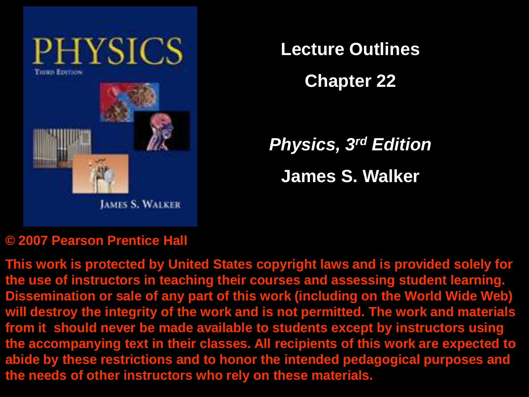

**Lecture Outlines**

**Chapter 22**

*Physics, 3rd Edition* **James S. Walker**

#### **© 2007 Pearson Prentice Hall**

**This work is protected by United States copyright laws and is provided solely for the use of instructors in teaching their courses and assessing student learning. Dissemination or sale of any part of this work (including on the World Wide Web) will destroy the integrity of the work and is not permitted. The work and materials from it should never be made available to students except by instructors using the accompanying text in their classes. All recipients of this work are expected to abide by these restrictions and to honor the intended pedagogical purposes and the needs of other instructors who rely on these materials.**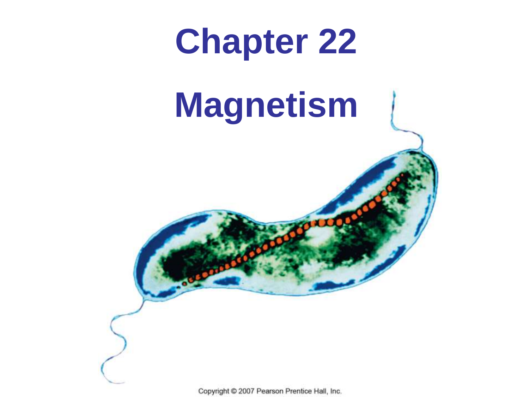

# **Magnetism**

Copyright @ 2007 Pearson Prentice Hall, Inc.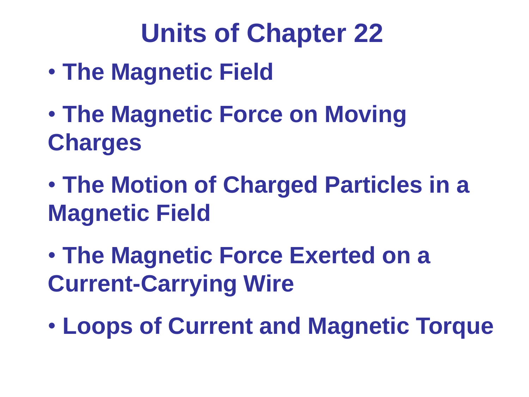# **Units of Chapter 22**

- **The Magnetic Field**
- **The Magnetic Force on Moving Charges**
- **The Motion of Charged Particles in a Magnetic Field**
- **The Magnetic Force Exerted on a Current-Carrying Wire**
- **Loops of Current and Magnetic Torque**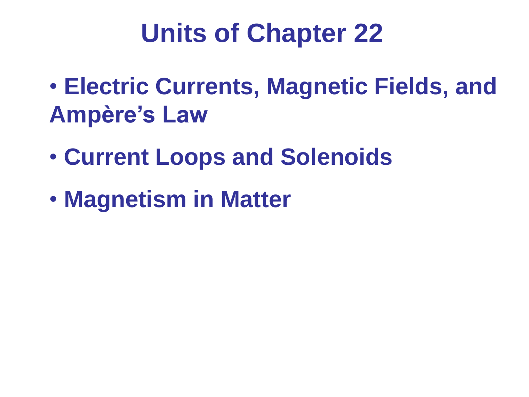# **Units of Chapter 22**

- **Electric Currents, Magnetic Fields, and Ampère's Law**
- **Current Loops and Solenoids**
- **Magnetism in Matter**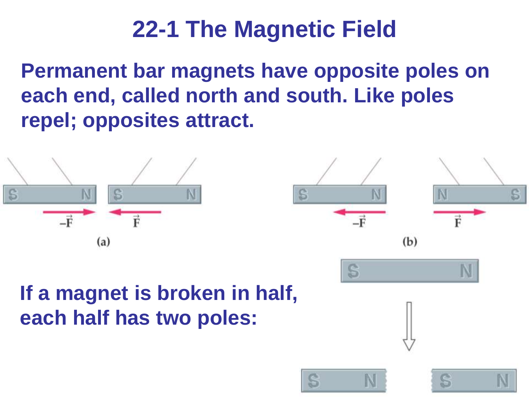**Permanent bar magnets have opposite poles on each end, called north and south. Like poles repel; opposites attract.**



#### **If a magnet is broken in half, each half has two poles:**



S

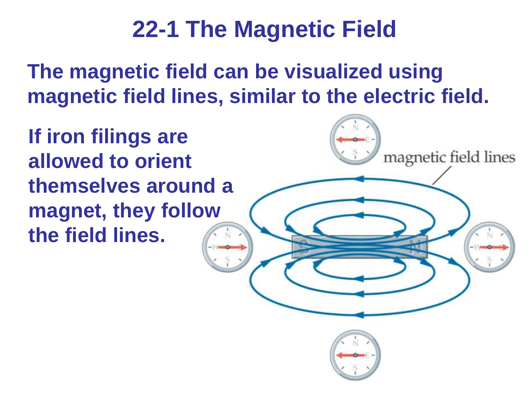**The magnetic field can be visualized using magnetic field lines, similar to the electric field.** 

magnetic field lines

**If iron filings are allowed to orient themselves around a magnet, they follow the field lines.**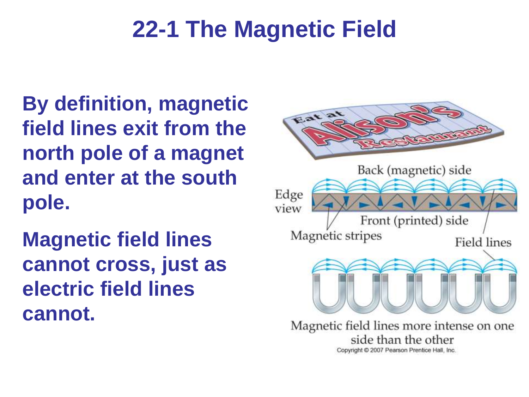**By definition, magnetic field lines exit from the north pole of a magnet and enter at the south pole.**

**Magnetic field lines cannot cross, just as electric field lines cannot.**



Copyright C 2007 Pearson Prentice Hall, Inc.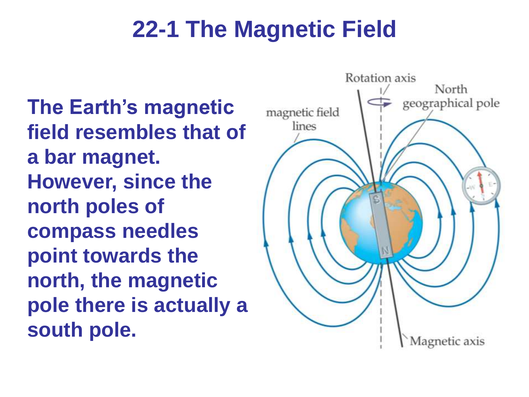**The Earth's magnetic field resembles that of a bar magnet. However, since the north poles of compass needles point towards the north, the magnetic pole there is actually a south pole.**

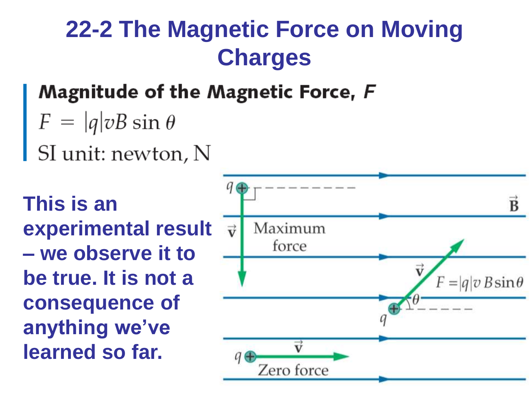#### **Magnitude of the Magnetic Force, F**

- $F = |q|vB \sin \theta$
- SI unit: newton, N

**This is an experimental result – we observe it to be true. It is not a consequence of anything we've learned so far.**

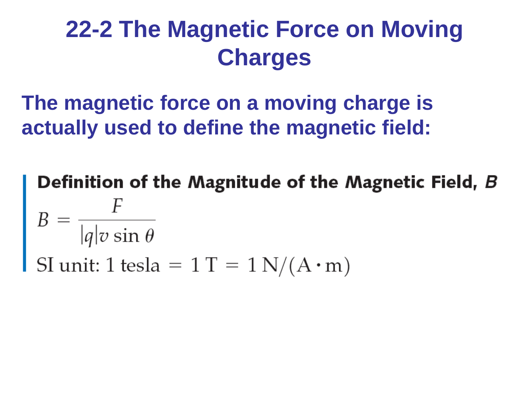**The magnetic force on a moving charge is actually used to define the magnetic field:**

Definition of the Magnitude of the Magnetic Field, B  $B = \frac{F}{|q|v \sin \theta}$ <br>SI unit: 1 tesla = 1 T = 1 N/(A · m)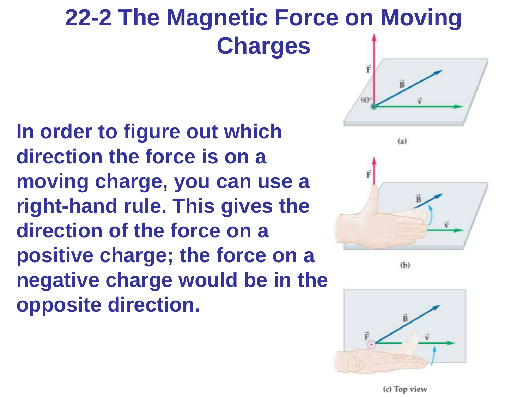**In order to figure out which direction the force is on a moving charge, you can use a right-hand rule. This gives the direction of the force on a positive charge; the force on a negative charge would be in the opposite direction.**





 $(b)$ 



(c) Top view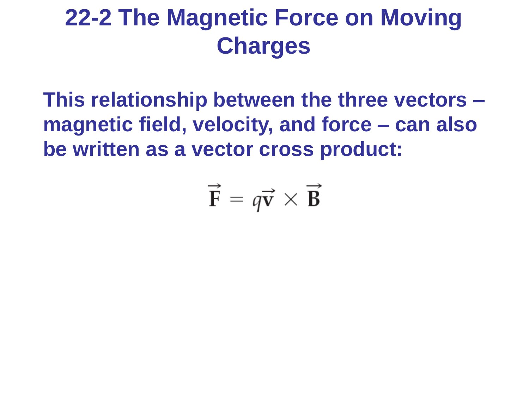**This relationship between the three vectors – magnetic field, velocity, and force – can also be written as a vector cross product:**

$$
\vec{\mathbf{F}} = q\vec{\mathbf{v}} \times \vec{\mathbf{B}}
$$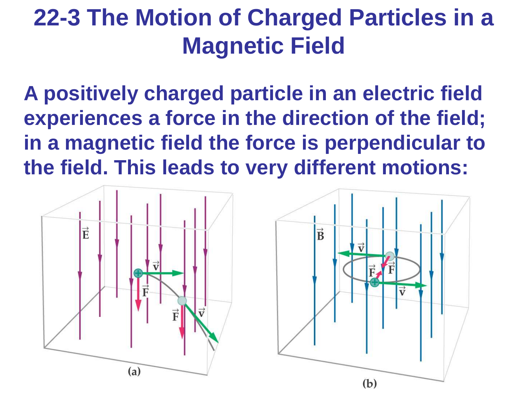**A positively charged particle in an electric field experiences a force in the direction of the field; in a magnetic field the force is perpendicular to the field. This leads to very different motions:**

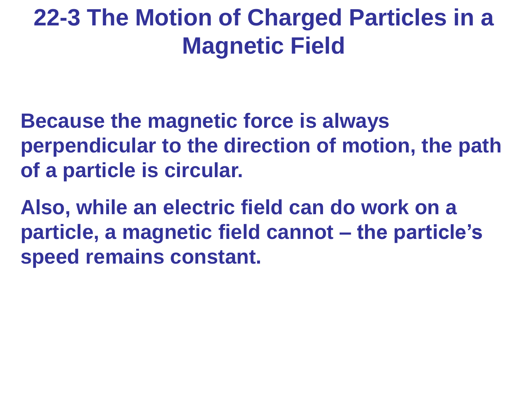**Because the magnetic force is always perpendicular to the direction of motion, the path of a particle is circular.**

**Also, while an electric field can do work on a particle, a magnetic field cannot – the particle's speed remains constant.**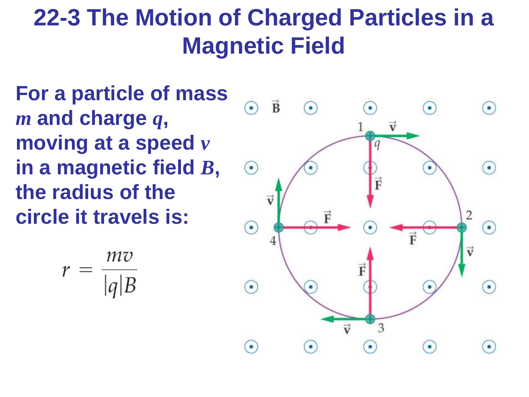**For a particle of mass**  *m* **and charge** *q***, moving at a speed** *v* **in a magnetic field** *B***, the radius of the circle it travels is:**

$$
r = \frac{mv}{|q|B}
$$

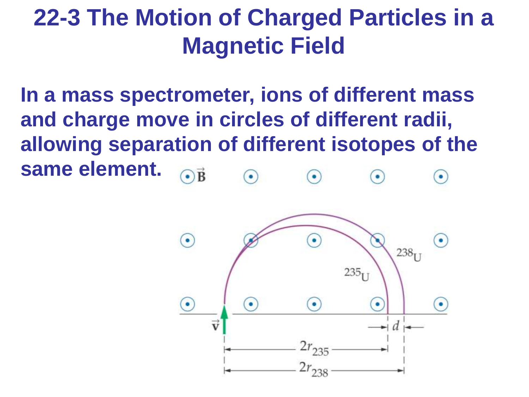**In a mass spectrometer, ions of different mass and charge move in circles of different radii, allowing separation of different isotopes of the same element.**

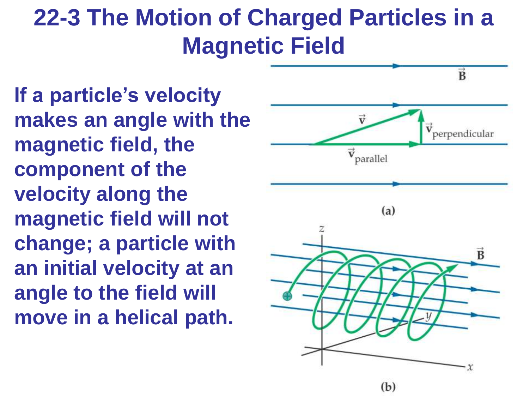**If a particle's velocity makes an angle with the magnetic field, the component of the velocity along the magnetic field will not change; a particle with an initial velocity at an angle to the field will move in a helical path.**

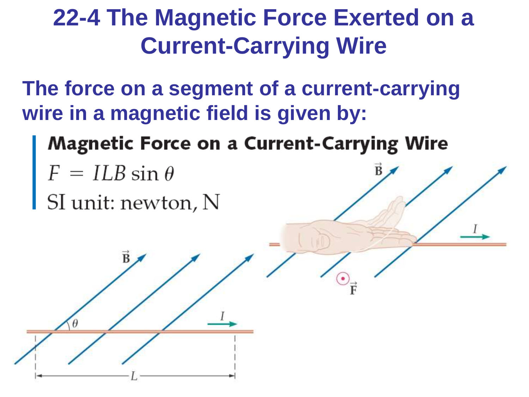#### **22-4 The Magnetic Force Exerted on a Current-Carrying Wire**

**The force on a segment of a current-carrying wire in a magnetic field is given by:**

- **Magnetic Force on a Current-Carrying Wire**
- 
- $F = ILB \sin \theta$ <br>SI unit: newton, N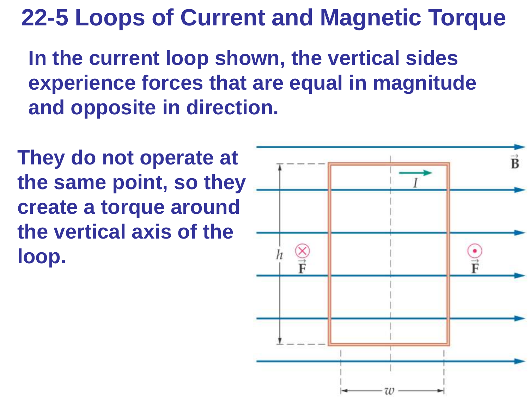**In the current loop shown, the vertical sides experience forces that are equal in magnitude and opposite in direction.**

**They do not operate at the same point, so they create a torque around the vertical axis of the loop.**

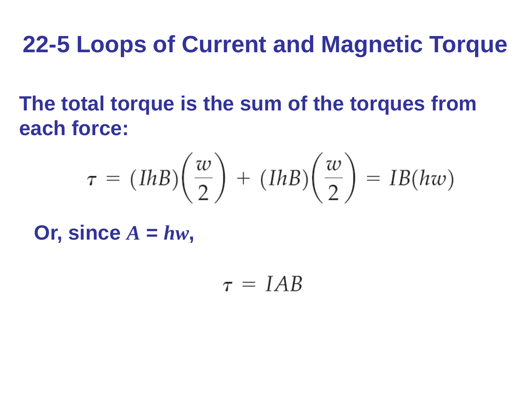**The total torque is the sum of the torques from each force:**

$$
\tau = (IhB)\left(\frac{w}{2}\right) + (IhB)\left(\frac{w}{2}\right) = IB(hw)
$$

Or, since  $A = hw$ ,

 $\tau = IAB$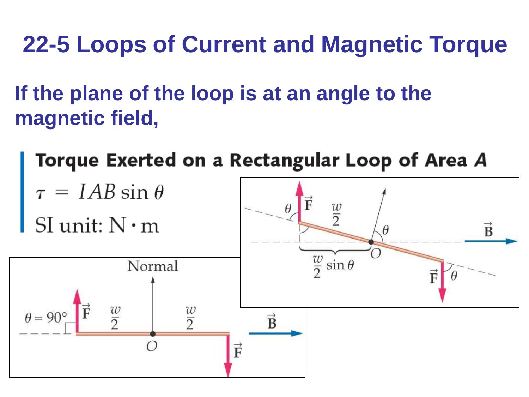**If the plane of the loop is at an angle to the magnetic field,** 

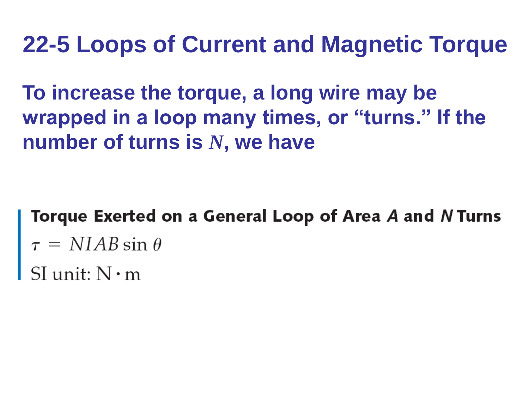**To increase the torque, a long wire may be wrapped in a loop many times, or "turns." If the number of turns is** *N***, we have**

Torque Exerted on a General Loop of Area A and N Turns  $\tau$  = NIAB sin  $\theta$ <br>SI unit: N · m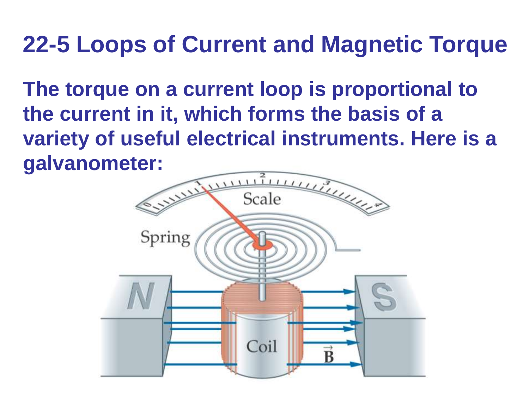**The torque on a current loop is proportional to the current in it, which forms the basis of a variety of useful electrical instruments. Here is a galvanometer:**

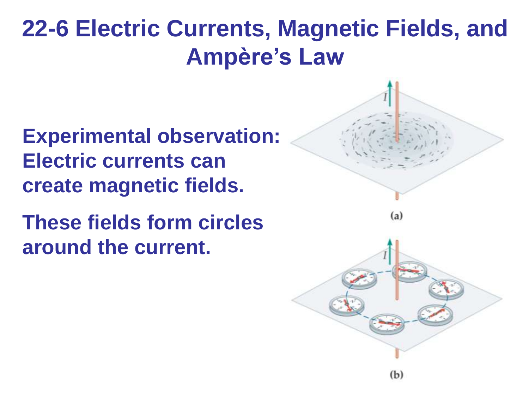#### **Experimental observation: Electric currents can create magnetic fields.**

**These fields form circles around the current.**

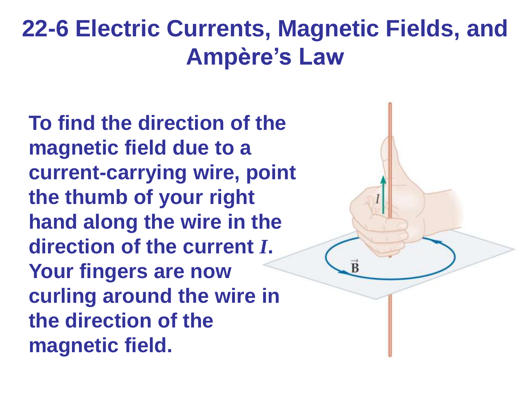**To find the direction of the magnetic field due to a current-carrying wire, point the thumb of your right hand along the wire in the direction of the current** *I***. Your fingers are now curling around the wire in the direction of the magnetic field.**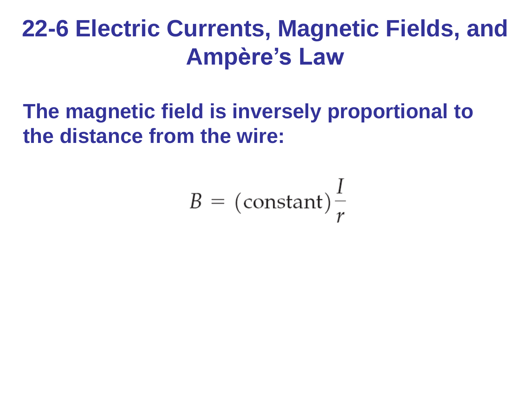#### **The magnetic field is inversely proportional to the distance from the wire:**

$$
B = \left(\text{constant}\right)\frac{I}{r}
$$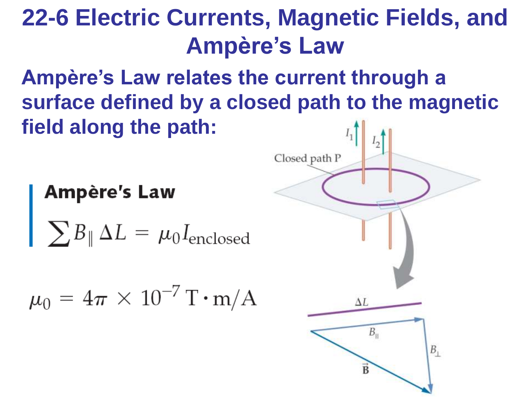**Ampère's Law relates the current through a surface defined by a closed path to the magnetic field along the path:**

**Ampère's Law** 

 $\sum B_{\parallel} \Delta L = \mu_0 I_{\text{enclosed}}$ 

$$
\mu_0=4\pi\times10^{-7}\,\mathrm{T\cdot m/A}
$$

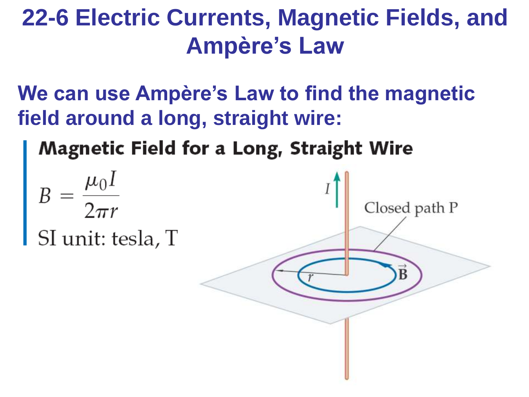**We can use Ampère's Law to find the magnetic field around a long, straight wire:**

**Magnetic Field for a Long, Straight Wire** 

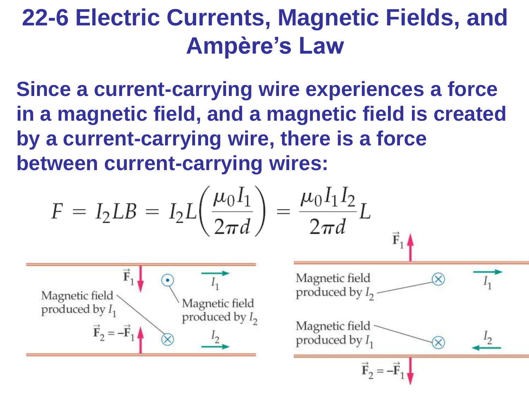**Since a current-carrying wire experiences a force in a magnetic field, and a magnetic field is created by a current-carrying wire, there is a force between current-carrying wires:**

$$
F = I_2 L B = I_2 L \left(\frac{\mu_0 I_1}{2\pi d}\right) = \frac{\mu_0 I_1 I_2}{2\pi d} L
$$
\n
$$
\frac{\vec{F}_1}{\text{Magnetic field}}
$$
\n
$$
\frac{\vec{F}_2}{\text{Produced by } I_1}
$$
\n
$$
\frac{\vec{F}_1}{\text{Magnetic field}}
$$
\n
$$
\frac{\vec{F}_2}{\text{Produced by } I_2}
$$
\n
$$
\frac{I_2}{\text{Produced by } I_1}
$$
\n
$$
\frac{I_2}{\text{Produced by } I_1}
$$
\n
$$
\frac{\vec{F}_2}{\vec{F}_2} = -\vec{F}_1
$$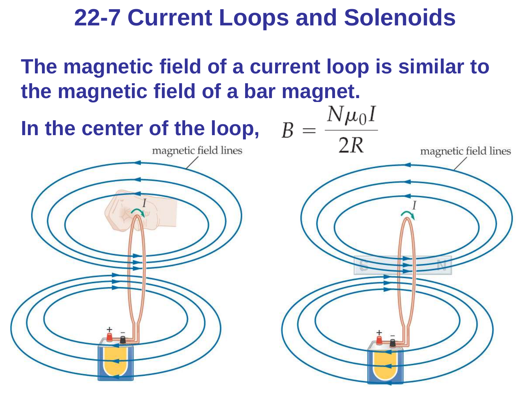#### **22-7 Current Loops and Solenoids**

**The magnetic field of a current loop is similar to the magnetic field of a bar magnet.**

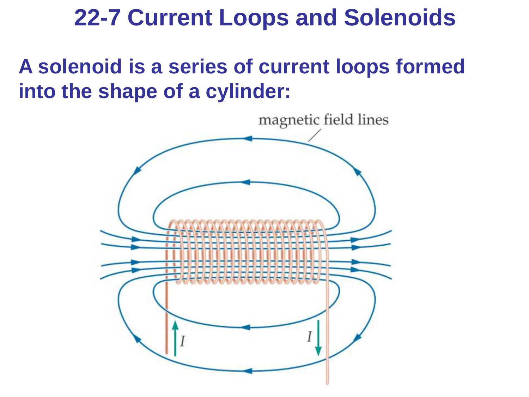#### **22-7 Current Loops and Solenoids**

#### **A solenoid is a series of current loops formed into the shape of a cylinder:**

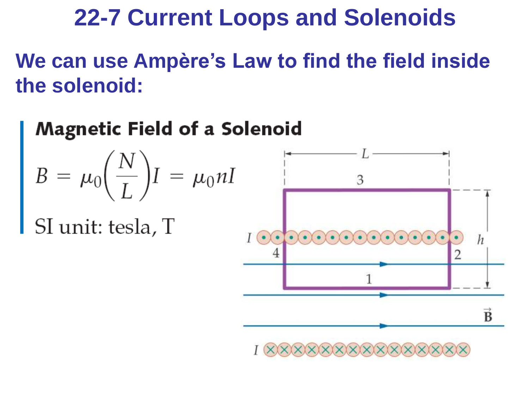#### **22-7 Current Loops and Solenoids**

**We can use Ampère's Law to find the field inside the solenoid:**

#### **Magnetic Field of a Solenoid**

$$
B = \mu_0 \bigg(\frac{N}{L}\bigg)I = \mu_0 nI
$$

SI unit: tesla, T

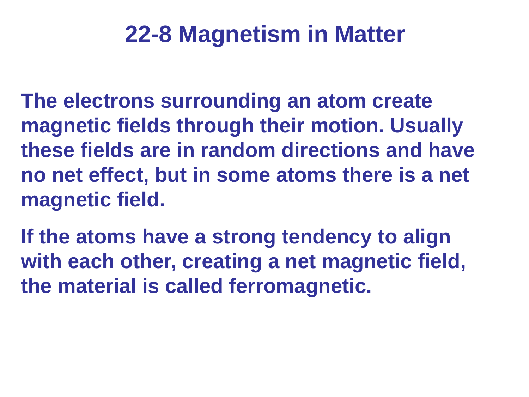**The electrons surrounding an atom create magnetic fields through their motion. Usually these fields are in random directions and have no net effect, but in some atoms there is a net magnetic field.** 

**If the atoms have a strong tendency to align with each other, creating a net magnetic field, the material is called ferromagnetic.**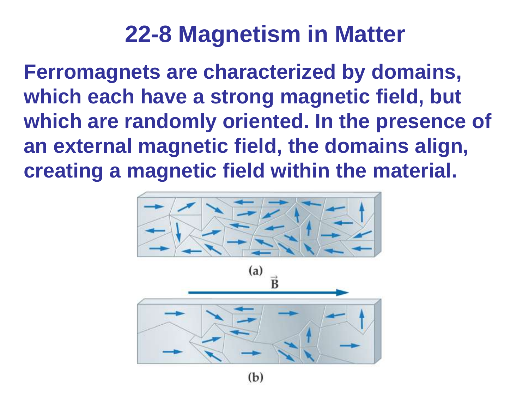**Ferromagnets are characterized by domains, which each have a strong magnetic field, but which are randomly oriented. In the presence of an external magnetic field, the domains align, creating a magnetic field within the material.**

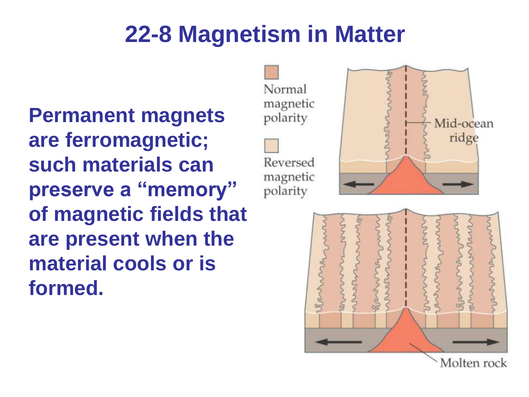**Permanent magnets are ferromagnetic; such materials can preserve a "memory" of magnetic fields that are present when the material cools or is formed.**

Normal magnetic polarity



Reversed magnetic polarity



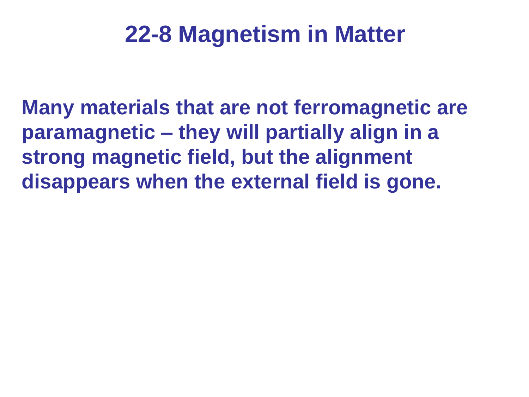**Many materials that are not ferromagnetic are paramagnetic – they will partially align in a strong magnetic field, but the alignment disappears when the external field is gone.**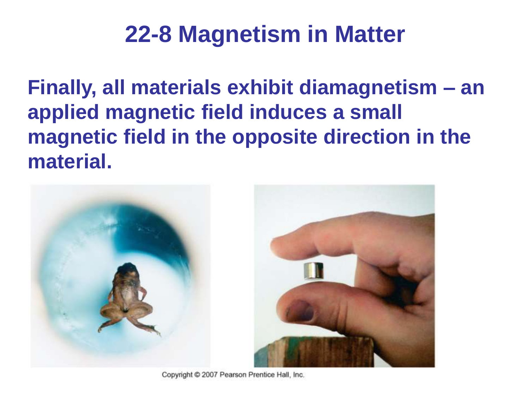**Finally, all materials exhibit diamagnetism – an applied magnetic field induces a small magnetic field in the opposite direction in the material.** 



Copyright @ 2007 Pearson Prentice Hall, Inc.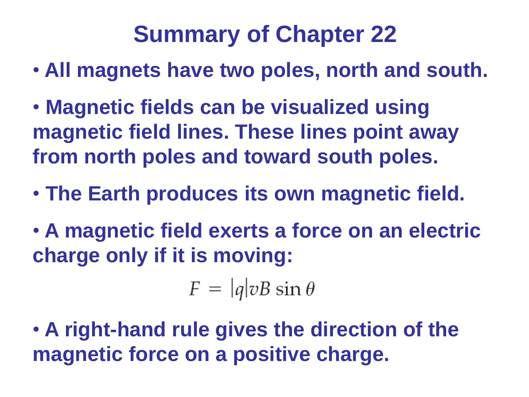- **All magnets have two poles, north and south.**
- **Magnetic fields can be visualized using magnetic field lines. These lines point away from north poles and toward south poles.**
- **The Earth produces its own magnetic field.**
- **A magnetic field exerts a force on an electric charge only if it is moving:**

 $F = |q|vB \sin \theta$ 

• **A right-hand rule gives the direction of the magnetic force on a positive charge.**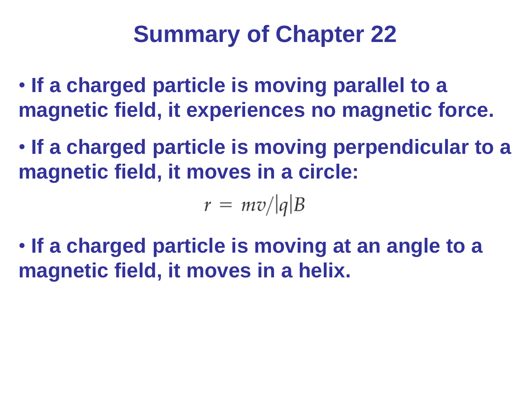- **If a charged particle is moving parallel to a magnetic field, it experiences no magnetic force.**
- **If a charged particle is moving perpendicular to a magnetic field, it moves in a circle:**

 $r = mv/|q|B$ 

• **If a charged particle is moving at an angle to a magnetic field, it moves in a helix.**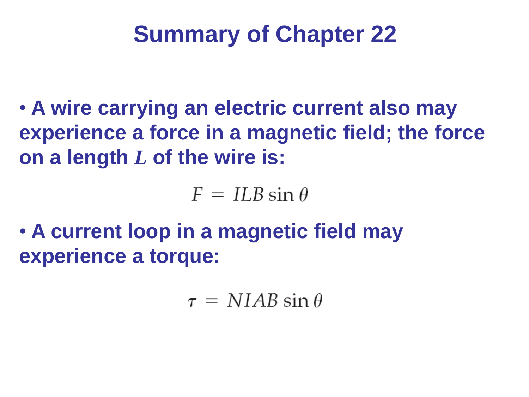• **A wire carrying an electric current also may experience a force in a magnetic field; the force on a length** *L* **of the wire is:**

 $F = ILB \sin \theta$ 

• **A current loop in a magnetic field may experience a torque:**

 $\tau = NIAB \sin \theta$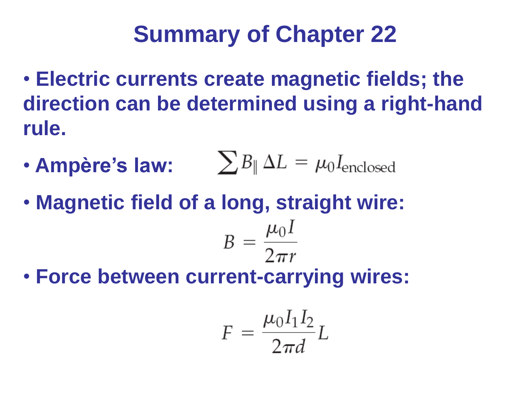- **Electric currents create magnetic fields; the direction can be determined using a right-hand rule.**
- **Ampère's law:**  $\sum B_{\parallel} \Delta L = \mu_0 I_{\text{enclosed}}$
- **Magnetic field of a long, straight wire:**

$$
B = \frac{\mu_0 I}{2\pi r}
$$

• **Force between current-carrying wires:**

$$
F = \frac{\mu_0 I_1 I_2}{2\pi d} L
$$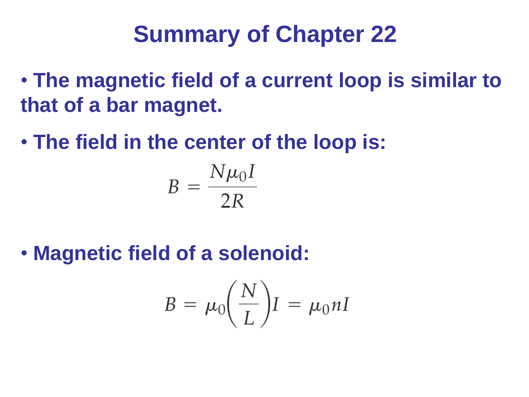- **The magnetic field of a current loop is similar to that of a bar magnet.**
- **The field in the center of the loop is:**

$$
B = \frac{N\mu_0 I}{2R}
$$

• **Magnetic field of a solenoid:**

$$
B = \mu_0 \bigg(\frac{N}{L}\bigg)I = \mu_0 nI
$$